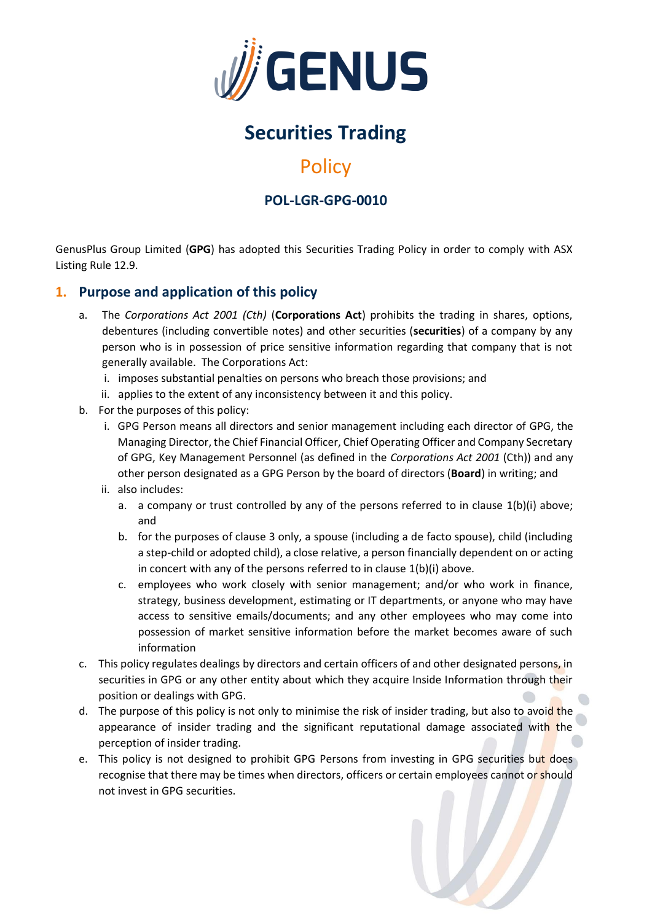

# **Securities Trading**

## **Policy**

## **POL-LGR-GPG-0010**

GenusPlus Group Limited (**GPG**) has adopted this Securities Trading Policy in order to comply with ASX Listing Rule 12.9.

## **1. Purpose and application of this policy**

- a. The *Corporations Act 2001 (Cth)* (**Corporations Act**) prohibits the trading in shares, options, debentures (including convertible notes) and other securities (**securities**) of a company by any person who is in possession of price sensitive information regarding that company that is not generally available. The Corporations Act:
	- i. imposes substantial penalties on persons who breach those provisions; and
	- ii. applies to the extent of any inconsistency between it and this policy.
- <span id="page-0-0"></span>b. For the purposes of this policy:
	- i. GPG Person means all directors and senior management including each director of GPG, the Managing Director, the Chief Financial Officer, Chief Operating Officer and Company Secretary of GPG, Key Management Personnel (as defined in the *Corporations Act 2001* (Cth)) and any other person designated as a GPG Person by the board of directors (**Board**) in writing; and
	- ii. also includes:
		- a. a company or trust controlled by any of the persons referred to in clause 1(b)[\(i\)](#page-0-0) above; and
		- b. for the purposes of clause [3](#page-1-0) only, a spouse (including a de facto spouse), child (including a step-child or adopted child), a close relative, a person financially dependent on or acting in concert with any of the persons referred to in clause 1(b)[\(i\)](#page-0-0) above.
		- c. employees who work closely with senior management; and/or who work in finance, strategy, business development, estimating or IT departments, or anyone who may have access to sensitive emails/documents; and any other employees who may come into possession of market sensitive information before the market becomes aware of such information
- c. This policy regulates dealings by directors and certain officers of and other designated persons, in securities in GPG or any other entity about which they acquire Inside Information through their position or dealings with GPG.
- d. The purpose of this policy is not only to minimise the risk of insider trading, but also to avoid the appearance of insider trading and the significant reputational damage associated with the perception of insider trading.
- e. This policy is not designed to prohibit GPG Persons from investing in GPG securities but does recognise that there may be times when directors, officers or certain employees cannot or should not invest in GPG securities.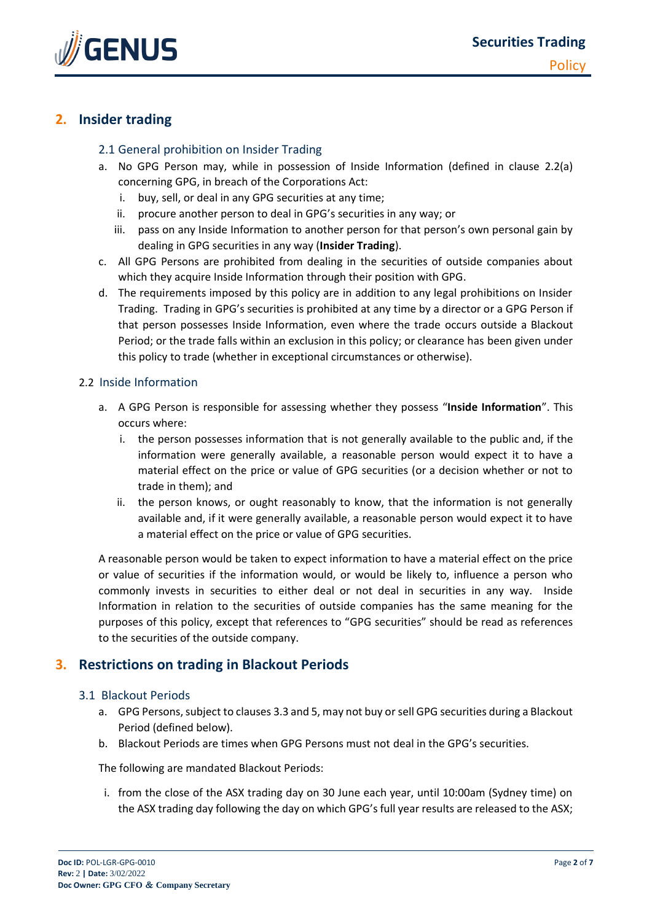

## **2. Insider trading**

#### 2.1 General prohibition on Insider Trading

- a. No GPG Person may, while in possession of Inside Information (defined in clause 2.2[\(a\)](#page-1-1) concerning GPG, in breach of the Corporations Act:
	- i. buy, sell, or deal in any GPG securities at any time;
	- ii. procure another person to deal in GPG's securities in any way; or
	- iii. pass on any Inside Information to another person for that person's own personal gain by dealing in GPG securities in any way (**Insider Trading**).
- c. All GPG Persons are prohibited from dealing in the securities of outside companies about which they acquire Inside Information through their position with GPG.
- d. The requirements imposed by this policy are in addition to any legal prohibitions on Insider Trading. Trading in GPG's securities is prohibited at any time by a director or a GPG Person if that person possesses Inside Information, even where the trade occurs outside a Blackout Period; or the trade falls within an exclusion in this policy; or clearance has been given under this policy to trade (whether in exceptional circumstances or otherwise).

#### 2.2 Inside Information

- <span id="page-1-1"></span>a. A GPG Person is responsible for assessing whether they possess "**Inside Information**". This occurs where:
	- i. the person possesses information that is not generally available to the public and, if the information were generally available, a reasonable person would expect it to have a material effect on the price or value of GPG securities (or a decision whether or not to trade in them); and
	- ii. the person knows, or ought reasonably to know, that the information is not generally available and, if it were generally available, a reasonable person would expect it to have a material effect on the price or value of GPG securities.

A reasonable person would be taken to expect information to have a material effect on the price or value of securities if the information would, or would be likely to, influence a person who commonly invests in securities to either deal or not deal in securities in any way. Inside Information in relation to the securities of outside companies has the same meaning for the purposes of this policy, except that references to "GPG securities" should be read as references to the securities of the outside company.

## <span id="page-1-0"></span>**3. Restrictions on trading in Blackout Periods**

#### 3.1 Blackout Periods

- a. GPG Persons, subject to clauses 3.3 an[d 5,](#page-4-0) may not buy or sell GPG securities during a Blackout Period (defined below).
- b. Blackout Periods are times when GPG Persons must not deal in the GPG's securities.

The following are mandated Blackout Periods:

i. from the close of the ASX trading day on 30 June each year, until 10:00am (Sydney time) on the ASX trading day following the day on which GPG's full year results are released to the ASX;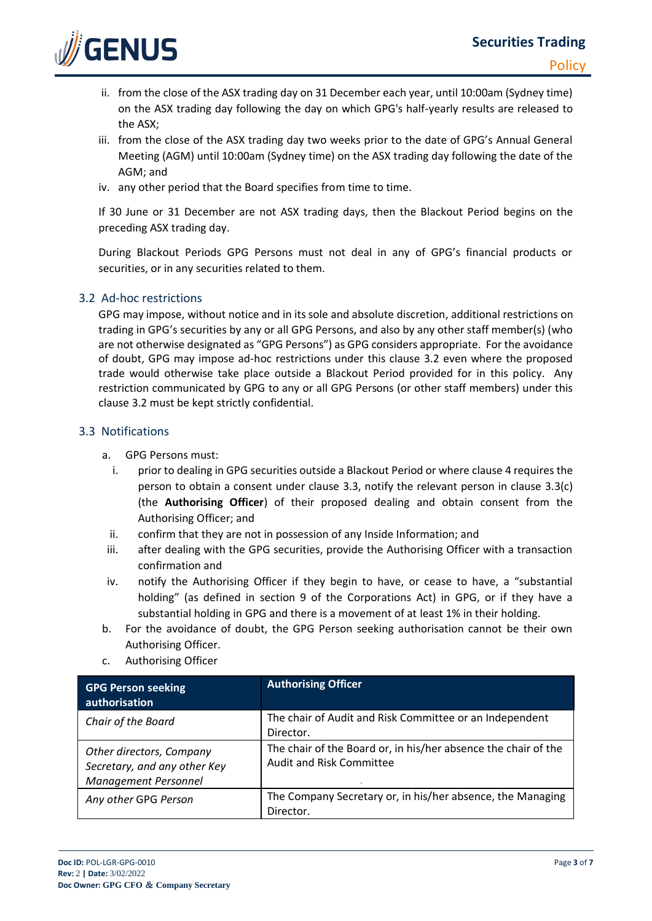

- ii. from the close of the ASX trading day on 31 December each year, until 10:00am (Sydney time) on the ASX trading day following the day on which GPG's half-yearly results are released to the ASX;
- iii. from the close of the ASX trading day two weeks prior to the date of GPG's Annual General Meeting (AGM) until 10:00am (Sydney time) on the ASX trading day following the date of the AGM; and
- iv. any other period that the Board specifies from time to time.

If 30 June or 31 December are not ASX trading days, then the Blackout Period begins on the preceding ASX trading day.

During Blackout Periods GPG Persons must not deal in any of GPG's financial products or securities, or in any securities related to them.

#### 3.2 Ad-hoc restrictions

GPG may impose, without notice and in its sole and absolute discretion, additional restrictions on trading in GPG's securities by any or all GPG Persons, and also by any other staff member(s) (who are not otherwise designated as "GPG Persons") as GPG considers appropriate. For the avoidance of doubt, GPG may impose ad-hoc restrictions under this clause 3.2 even where the proposed trade would otherwise take place outside a Blackout Period provided for in this policy. Any restriction communicated by GPG to any or all GPG Persons (or other staff members) under this clause 3.2 must be kept strictly confidential.

#### 3.3 Notifications

- a. GPG Persons must:
	- i. prior to dealing in GPG securities outside a Blackout Period or where claus[e 4](#page-3-0) requires the person to obtain a consent under clause 3.3, notify the relevant person in clause 3.3(c) (the **Authorising Officer**) of their proposed dealing and obtain consent from the Authorising Officer; and
	- ii. confirm that they are not in possession of any Inside Information; and
- iii. after dealing with the GPG securities, provide the Authorising Officer with a transaction confirmation and
- iv. notify the Authorising Officer if they begin to have, or cease to have, a "substantial holding" (as defined in section 9 of the Corporations Act) in GPG, or if they have a substantial holding in GPG and there is a movement of at least 1% in their holding.
- b. For the avoidance of doubt, the GPG Person seeking authorisation cannot be their own Authorising Officer.
- c. Authorising Officer

| <b>GPG Person seeking</b><br>authorisation                                              | <b>Authorising Officer</b>                                                                        |
|-----------------------------------------------------------------------------------------|---------------------------------------------------------------------------------------------------|
| Chair of the Board                                                                      | The chair of Audit and Risk Committee or an Independent<br>Director.                              |
| Other directors, Company<br>Secretary, and any other Key<br><b>Management Personnel</b> | The chair of the Board or, in his/her absence the chair of the<br><b>Audit and Risk Committee</b> |
| Any other GPG Person                                                                    | The Company Secretary or, in his/her absence, the Managing<br>Director.                           |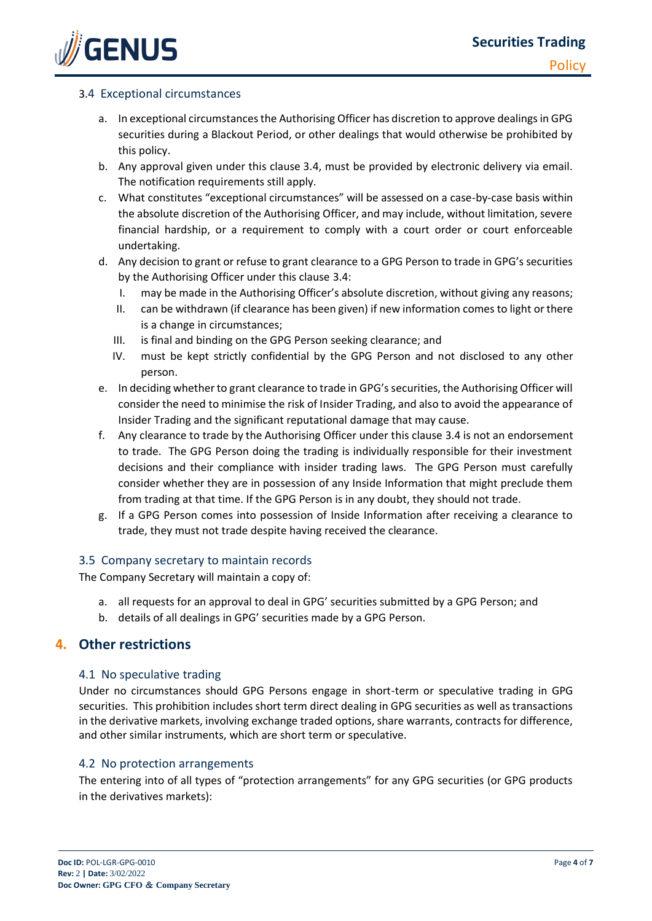

#### 3.4 Exceptional circumstances

- a. In exceptional circumstances the Authorising Officer has discretion to approve dealings in GPG securities during a Blackout Period, or other dealings that would otherwise be prohibited by this policy.
- b. Any approval given under this clause 3.4, must be provided by electronic delivery via email. The notification requirements still apply.
- c. What constitutes "exceptional circumstances" will be assessed on a case-by-case basis within the absolute discretion of the Authorising Officer, and may include, without limitation, severe financial hardship, or a requirement to comply with a court order or court enforceable undertaking.
- d. Any decision to grant or refuse to grant clearance to a GPG Person to trade in GPG's securities by the Authorising Officer under this clause 3.4:
	- I. may be made in the Authorising Officer's absolute discretion, without giving any reasons;
	- II. can be withdrawn (if clearance has been given) if new information comes to light or there is a change in circumstances;
	- III. is final and binding on the GPG Person seeking clearance; and
	- IV. must be kept strictly confidential by the GPG Person and not disclosed to any other person.
- e. In deciding whether to grant clearance to trade in GPG's securities, the Authorising Officer will consider the need to minimise the risk of Insider Trading, and also to avoid the appearance of Insider Trading and the significant reputational damage that may cause.
- f. Any clearance to trade by the Authorising Officer under this clause 3.4 is not an endorsement to trade. The GPG Person doing the trading is individually responsible for their investment decisions and their compliance with insider trading laws. The GPG Person must carefully consider whether they are in possession of any Inside Information that might preclude them from trading at that time. If the GPG Person is in any doubt, they should not trade.
- g. If a GPG Person comes into possession of Inside Information after receiving a clearance to trade, they must not trade despite having received the clearance.

#### 3.5 Company secretary to maintain records

The Company Secretary will maintain a copy of:

- a. all requests for an approval to deal in GPG' securities submitted by a GPG Person; and
- b. details of all dealings in GPG' securities made by a GPG Person.

## <span id="page-3-0"></span>**4. Other restrictions**

#### 4.1 No speculative trading

Under no circumstances should GPG Persons engage in short-term or speculative trading in GPG securities. This prohibition includes short term direct dealing in GPG securities as well as transactions in the derivative markets, involving exchange traded options, share warrants, contracts for difference, and other similar instruments, which are short term or speculative.

#### 4.2 No protection arrangements

The entering into of all types of "protection arrangements" for any GPG securities (or GPG products in the derivatives markets):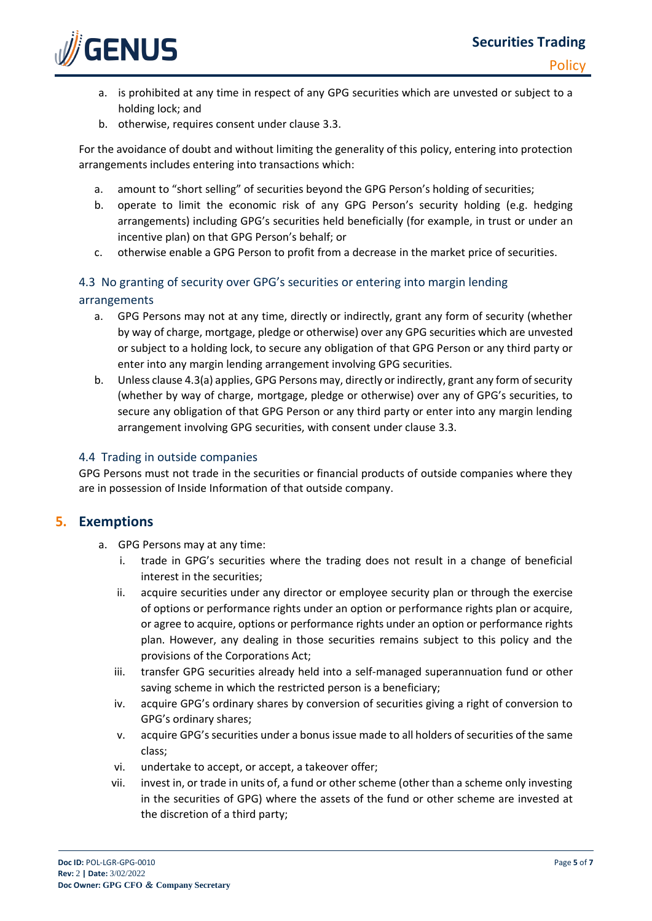

- a. is prohibited at any time in respect of any GPG securities which are unvested or subject to a holding lock; and
- b. otherwise, requires consent under clause 3.3.

For the avoidance of doubt and without limiting the generality of this policy, entering into protection arrangements includes entering into transactions which:

- a. amount to "short selling" of securities beyond the GPG Person's holding of securities;
- b. operate to limit the economic risk of any GPG Person's security holding (e.g. hedging arrangements) including GPG's securities held beneficially (for example, in trust or under an incentive plan) on that GPG Person's behalf; or
- c. otherwise enable a GPG Person to profit from a decrease in the market price of securities.

## 4.3 No granting of security over GPG's securities or entering into margin lending arrangements

- a. GPG Persons may not at any time, directly or indirectly, grant any form of security (whether by way of charge, mortgage, pledge or otherwise) over any GPG securities which are unvested or subject to a holding lock, to secure any obligation of that GPG Person or any third party or enter into any margin lending arrangement involving GPG securities.
- b. Unless clause 4.3(a) applies, GPG Persons may, directly or indirectly, grant any form of security (whether by way of charge, mortgage, pledge or otherwise) over any of GPG's securities, to secure any obligation of that GPG Person or any third party or enter into any margin lending arrangement involving GPG securities, with consent under clause 3.3.

#### 4.4 Trading in outside companies

GPG Persons must not trade in the securities or financial products of outside companies where they are in possession of Inside Information of that outside company.

## <span id="page-4-0"></span>**5. Exemptions**

- <span id="page-4-1"></span>a. GPG Persons may at any time:
	- i. trade in GPG's securities where the trading does not result in a change of beneficial interest in the securities;
	- ii. acquire securities under any director or employee security plan or through the exercise of options or performance rights under an option or performance rights plan or acquire, or agree to acquire, options or performance rights under an option or performance rights plan. However, any dealing in those securities remains subject to this policy and the provisions of the Corporations Act;
	- iii. transfer GPG securities already held into a self-managed superannuation fund or other saving scheme in which the restricted person is a beneficiary;
	- iv. acquire GPG's ordinary shares by conversion of securities giving a right of conversion to GPG's ordinary shares;
	- v. acquire GPG's securities under a bonus issue made to all holders of securities of the same class;
	- vi. undertake to accept, or accept, a takeover offer;
	- vii. invest in, or trade in units of, a fund or other scheme (other than a scheme only investing in the securities of GPG) where the assets of the fund or other scheme are invested at the discretion of a third party;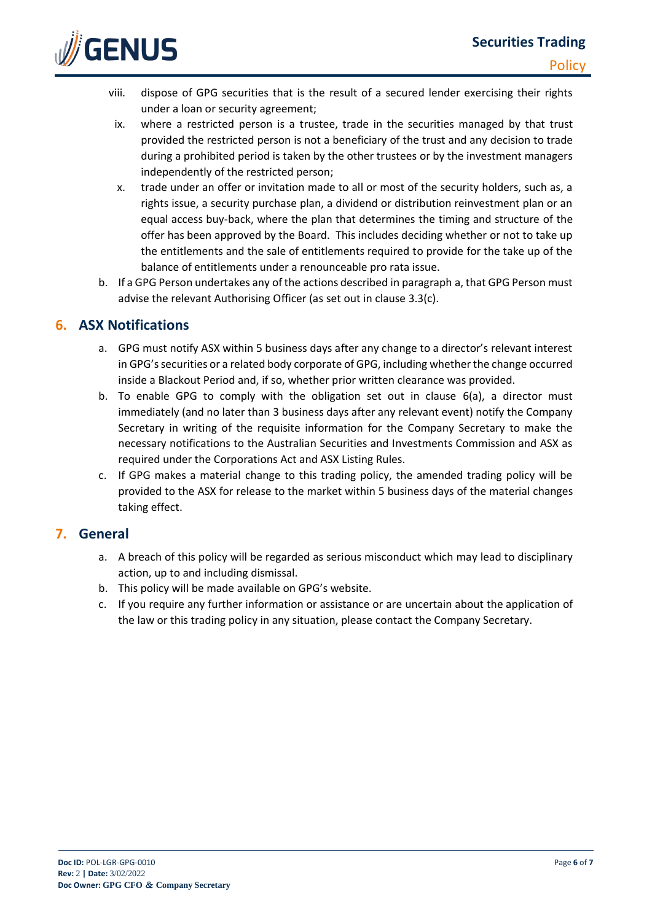

- viii. dispose of GPG securities that is the result of a secured lender exercising their rights under a loan or security agreement;
- ix. where a restricted person is a trustee, trade in the securities managed by that trust provided the restricted person is not a beneficiary of the trust and any decision to trade during a prohibited period is taken by the other trustees or by the investment managers independently of the restricted person;
- x. trade under an offer or invitation made to all or most of the security holders, such as, a rights issue, a security purchase plan, a dividend or distribution reinvestment plan or an equal access buy-back, where the plan that determines the timing and structure of the offer has been approved by the Board. This includes deciding whether or not to take up the entitlements and the sale of entitlements required to provide for the take up of the balance of entitlements under a renounceable pro rata issue.
- b. If a GPG Person undertakes any of the actions described in paragraph [a,](#page-4-1) that GPG Person must advise the relevant Authorising Officer (as set out in clause 3.3(c).

## **6. ASX Notifications**

- a. GPG must notify ASX within 5 business days after any change to a director's relevant interest in GPG's securities or a related body corporate of GPG, including whether the change occurred inside a Blackout Period and, if so, whether prior written clearance was provided.
- b. To enable GPG to comply with the obligation set out in clause 6(a), a director must immediately (and no later than 3 business days after any relevant event) notify the Company Secretary in writing of the requisite information for the Company Secretary to make the necessary notifications to the Australian Securities and Investments Commission and ASX as required under the Corporations Act and ASX Listing Rules.
- c. If GPG makes a material change to this trading policy, the amended trading policy will be provided to the ASX for release to the market within 5 business days of the material changes taking effect.

## **7. General**

- a. A breach of this policy will be regarded as serious misconduct which may lead to disciplinary action, up to and including dismissal.
- b. This policy will be made available on GPG's website.
- c. If you require any further information or assistance or are uncertain about the application of the law or this trading policy in any situation, please contact the Company Secretary.